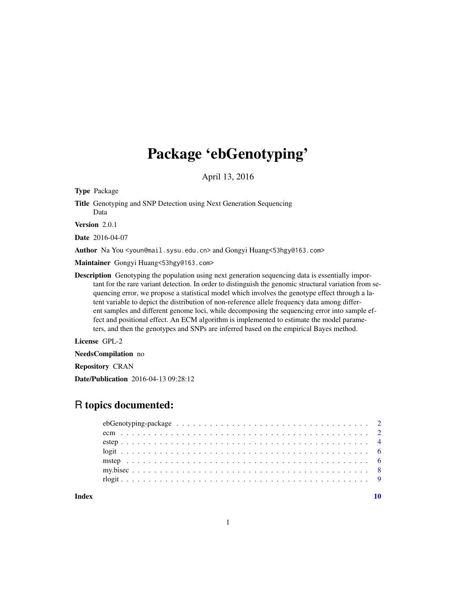# Package 'ebGenotyping'

April 13, 2016

Type Package

Title Genotyping and SNP Detection using Next Generation Sequencing Data

Version 2.0.1

Date 2016-04-07

Author Na You <youn@mail.sysu.edu.cn> and Gongyi Huang<53hgy@163.com>

Maintainer Gongyi Huang<53hgy@163.com>

Description Genotyping the population using next generation sequencing data is essentially important for the rare variant detection. In order to distinguish the genomic structural variation from sequencing error, we propose a statistical model which involves the genotype effect through a latent variable to depict the distribution of non-reference allele frequency data among different samples and different genome loci, while decomposing the sequencing error into sample effect and positional effect. An ECM algorithm is implemented to estimate the model parameters, and then the genotypes and SNPs are inferred based on the empirical Bayes method.

License GPL-2

NeedsCompilation no

Repository CRAN

Date/Publication 2016-04-13 09:28:12

# R topics documented:

 $\blacksquare$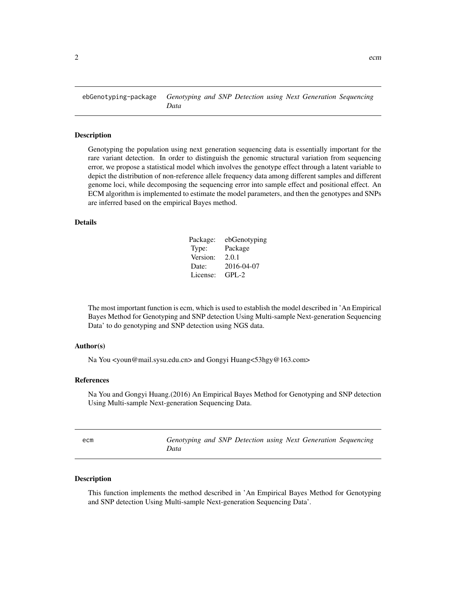<span id="page-1-0"></span>ebGenotyping-package *Genotyping and SNP Detection using Next Generation Sequencing Data*

#### **Description**

Genotyping the population using next generation sequencing data is essentially important for the rare variant detection. In order to distinguish the genomic structural variation from sequencing error, we propose a statistical model which involves the genotype effect through a latent variable to depict the distribution of non-reference allele frequency data among different samples and different genome loci, while decomposing the sequencing error into sample effect and positional effect. An ECM algorithm is implemented to estimate the model parameters, and then the genotypes and SNPs are inferred based on the empirical Bayes method.

# Details

| Package: | ebGenotyping |
|----------|--------------|
| Type:    | Package      |
| Version: | 2.0.1        |
| Date:    | 2016-04-07   |
| License: | GPL-2        |

The most important function is ecm, which is used to establish the model described in 'An Empirical Bayes Method for Genotyping and SNP detection Using Multi-sample Next-generation Sequencing Data' to do genotyping and SNP detection using NGS data.

#### Author(s)

Na You <youn@mail.sysu.edu.cn> and Gongyi Huang<53hgy@163.com>

#### References

Na You and Gongyi Huang.(2016) An Empirical Bayes Method for Genotyping and SNP detection Using Multi-sample Next-generation Sequencing Data.

| ecm | Genotyping and SNP Detection using Next Generation Sequencing |  |  |  |  |
|-----|---------------------------------------------------------------|--|--|--|--|
|     | Data                                                          |  |  |  |  |

# Description

This function implements the method described in 'An Empirical Bayes Method for Genotyping and SNP detection Using Multi-sample Next-generation Sequencing Data'.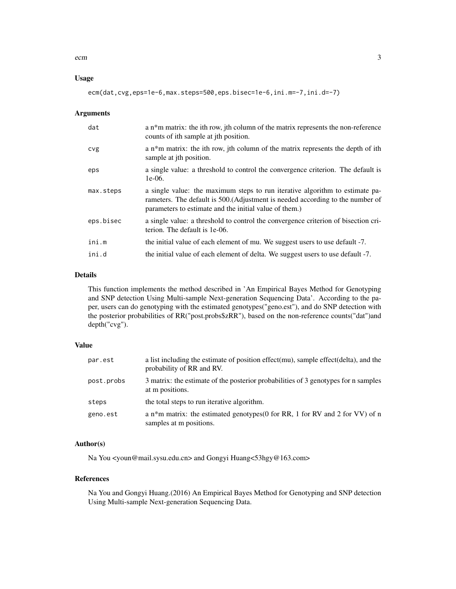#### ecm 3

# Usage

ecm(dat,cvg,eps=1e-6,max.steps=500,eps.bisec=1e-6,ini.m=-7,ini.d=-7)

#### Arguments

| dat        | a $n*$ m matrix: the ith row, jth column of the matrix represents the non-reference<br>counts of ith sample at jth position.                                                                                             |
|------------|--------------------------------------------------------------------------------------------------------------------------------------------------------------------------------------------------------------------------|
| <b>CVg</b> | a $n^*$ m matrix: the ith row, jth column of the matrix represents the depth of ith<br>sample at <i>ith</i> position.                                                                                                    |
| eps        | a single value: a threshold to control the convergence criterion. The default is<br>$1e-06.$                                                                                                                             |
| max.steps  | a single value: the maximum steps to run iterative algorithm to estimate pa-<br>rameters. The default is 500. (Adjustment is needed according to the number of<br>parameters to estimate and the initial value of them.) |
| eps.bisec  | a single value: a threshold to control the convergence criterion of bisection cri-<br>terion. The default is 1e-06.                                                                                                      |
| ini.m      | the initial value of each element of mu. We suggest users to use default -7.                                                                                                                                             |
| ini.d      | the initial value of each element of delta. We suggest users to use default -7.                                                                                                                                          |

# Details

This function implements the method described in 'An Empirical Bayes Method for Genotyping and SNP detection Using Multi-sample Next-generation Sequencing Data'. According to the paper, users can do genotyping with the estimated genotypes("geno.est"), and do SNP detection with the posterior probabilities of RR("post.probs\$zRR"), based on the non-reference counts("dat")and depth("cvg").

#### Value

| par.est    | a list including the estimate of position effect(mu), sample effect(delta), and the<br>probability of RR and RV. |
|------------|------------------------------------------------------------------------------------------------------------------|
| post.probs | 3 matrix: the estimate of the posterior probabilities of 3 genotypes for n samples<br>at m positions.            |
| steps      | the total steps to run iterative algorithm.                                                                      |
| geno.est   | a n*m matrix: the estimated genotypes(0 for RR, 1 for RV and 2 for VV) of n<br>samples at m positions.           |

#### Author(s)

Na You <youn@mail.sysu.edu.cn> and Gongyi Huang<53hgy@163.com>

# References

Na You and Gongyi Huang.(2016) An Empirical Bayes Method for Genotyping and SNP detection Using Multi-sample Next-generation Sequencing Data.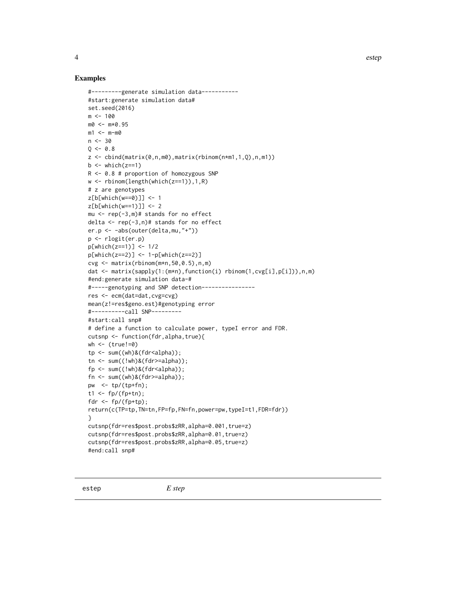# <span id="page-3-0"></span>Examples

```
#---------generate simulation data-----------
#start:generate simulation data#
set.seed(2016)
m < - 100m0 <- m*0.95
m1 < - m-m0n < -30Q \le -0.8z \le- cbind(matrix(0,n,m0),matrix(rbinom(n*m1,1,0),n,m1))
b \le - which(z == 1)
R <- 0.8 # proportion of homozygous SNP
w <- rbinom(length(which(z==1)),1,R)
# z are genotypes
z[b[which(w==0)]] <- 1
z[b[which(w==1)]] <- 2
mu \leq rep(-3,m)# stands for no effect
delta <- rep(-3,n)# stands for no effect
er.p <- -abs(outer(delta,mu,"+"))
p <- rlogit(er.p)
p[which(z==1)] <- 1/2
p[which(z == 2)] \le -1-p[which(z == 2)]cvg \le -\text{matrix(rbinom(m*n,50,0.5),n,m)}dat <- matrix(sapply(1:(m*n),function(i) rbinom(1,cvg[i],p[i])),n,m)
#end:generate simulation data-#
#-----genotyping and SNP detection----------------
res <- ecm(dat=dat,cvg=cvg)
mean(z!=res$geno.est)#genotyping error
#----------call SNP---------
#start:call snp#
# define a function to calculate power, typeI error and FDR.
cutsnp <- function(fdr,alpha,true){
wh < - (true!=0)
tp \leftarrow sum((wh) & (fdr < alpha));tn \leq sum((!wh)&(fdr>=alpha));
fp \leftarrow sum((!wh) & (fdr < alpha));fn \leq sum((wh)&(fdr>=alpha));
pw <- tp/(tp+fn);
t1 <- fp/(fp+tn);
fdr \leftarrow fp/(fp+tp);
return(c(TP=tp,TN=tn,FP=fp,FN=fn,power=pw,typeI=t1,FDR=fdr))
}
cutsnp(fdr=res$post.probs$zRR,alpha=0.001,true=z)
cutsnp(fdr=res$post.probs$zRR,alpha=0.01,true=z)
cutsnp(fdr=res$post.probs$zRR,alpha=0.05,true=z)
#end:call snp#
```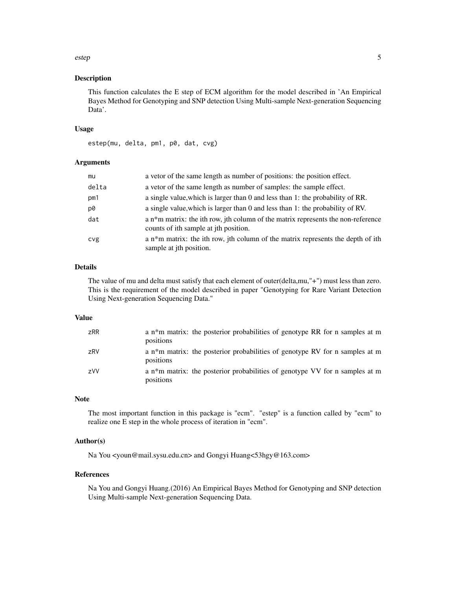#### estep 5

## Description

This function calculates the E step of ECM algorithm for the model described in 'An Empirical Bayes Method for Genotyping and SNP detection Using Multi-sample Next-generation Sequencing Data'.

# Usage

```
estep(mu, delta, pm1, p0, dat, cvg)
```
# Arguments

| mu         | a vetor of the same length as number of positions: the position effect.                                                   |
|------------|---------------------------------------------------------------------------------------------------------------------------|
| delta      | a vetor of the same length as number of samples: the sample effect.                                                       |
| pm1        | a single value, which is larger than 0 and less than 1: the probability of RR.                                            |
| p0         | a single value, which is larger than 0 and less than 1: the probability of RV.                                            |
| dat        | a n*m matrix: the ith row, jth column of the matrix represents the non-reference<br>counts of ith sample at jth position. |
| <b>CVg</b> | a n*m matrix: the ith row, jth column of the matrix represents the depth of ith<br>sample at jth position.                |

# Details

The value of mu and delta must satisfy that each element of outer(delta,mu,"+") must less than zero. This is the requirement of the model described in paper "Genotyping for Rare Variant Detection Using Next-generation Sequencing Data."

#### Value

| zRR        | a n*m matrix: the posterior probabilities of genotype RR for n samples at m<br>positions |
|------------|------------------------------------------------------------------------------------------|
| zRV        | a n*m matrix: the posterior probabilities of genotype RV for n samples at m<br>positions |
| <b>zVV</b> | a n*m matrix: the posterior probabilities of genotype VV for n samples at m<br>positions |

# Note

The most important function in this package is "ecm". "estep" is a function called by "ecm" to realize one E step in the whole process of iteration in "ecm".

# Author(s)

Na You <youn@mail.sysu.edu.cn> and Gongyi Huang<53hgy@163.com>

# References

Na You and Gongyi Huang.(2016) An Empirical Bayes Method for Genotyping and SNP detection Using Multi-sample Next-generation Sequencing Data.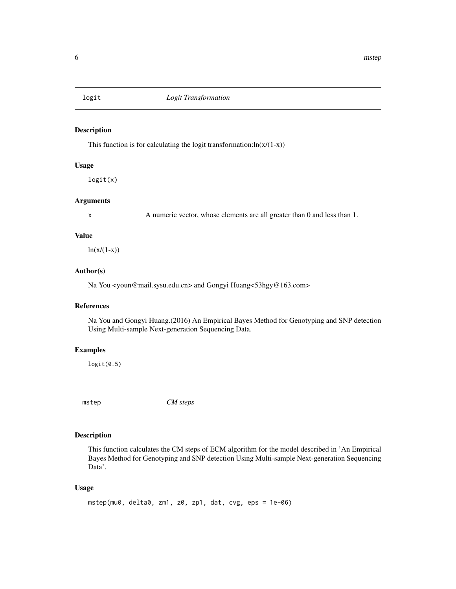<span id="page-5-0"></span>

# Description

This function is for calculating the logit transformation: $ln(x/(1-x))$ 

# Usage

logit(x)

# Arguments

x A numeric vector, whose elements are all greater than 0 and less than 1.

#### Value

 $ln(x/(1-x))$ 

#### Author(s)

Na You <youn@mail.sysu.edu.cn> and Gongyi Huang<53hgy@163.com>

# References

Na You and Gongyi Huang.(2016) An Empirical Bayes Method for Genotyping and SNP detection Using Multi-sample Next-generation Sequencing Data.

#### Examples

 $logit(0.5)$ 

mstep *CM steps*

# Description

This function calculates the CM steps of ECM algorithm for the model described in 'An Empirical Bayes Method for Genotyping and SNP detection Using Multi-sample Next-generation Sequencing Data'.

# Usage

```
mstep(mu0, delta0, zm1, z0, zp1, dat, cvg, eps = 1e-06)
```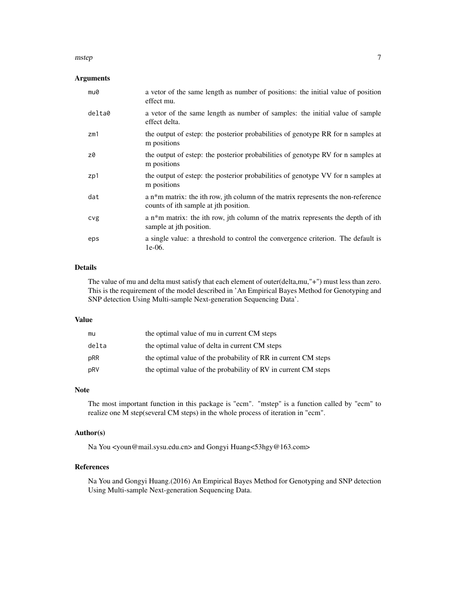#### mstep 2008 and 2008 and 2008 and 2008 and 2008 and 2008 and 2008 and 2008 and 2008 and 2008 and 2008 and 2008

# Arguments

| mu0    | a vetor of the same length as number of positions: the initial value of position<br>effect mu.                            |
|--------|---------------------------------------------------------------------------------------------------------------------------|
| delta0 | a vetor of the same length as number of samples: the initial value of sample<br>effect delta.                             |
| zm1    | the output of estep: the posterior probabilities of genotype RR for n samples at<br>m positions                           |
| z0     | the output of estep: the posterior probabilities of genotype RV for n samples at<br>m positions                           |
| zp1    | the output of estep: the posterior probabilities of genotype VV for n samples at<br>m positions                           |
| dat    | a n*m matrix: the ith row, jth column of the matrix represents the non-reference<br>counts of ith sample at jth position. |
| cvg    | a n*m matrix: the ith row, jth column of the matrix represents the depth of ith<br>sample at jth position.                |
| eps    | a single value: a threshold to control the convergence criterion. The default is<br>$1e-06.$                              |

# Details

The value of mu and delta must satisfy that each element of outer(delta,mu,"+") must less than zero. This is the requirement of the model described in 'An Empirical Bayes Method for Genotyping and SNP detection Using Multi-sample Next-generation Sequencing Data'.

# Value

| mu    | the optimal value of mu in current CM steps                    |
|-------|----------------------------------------------------------------|
| delta | the optimal value of delta in current CM steps                 |
| pRR   | the optimal value of the probability of RR in current CM steps |
| pRV   | the optimal value of the probability of RV in current CM steps |

#### Note

The most important function in this package is "ecm". "mstep" is a function called by "ecm" to realize one M step(several CM steps) in the whole process of iteration in "ecm".

# Author(s)

Na You <youn@mail.sysu.edu.cn> and Gongyi Huang<53hgy@163.com>

#### References

Na You and Gongyi Huang.(2016) An Empirical Bayes Method for Genotyping and SNP detection Using Multi-sample Next-generation Sequencing Data.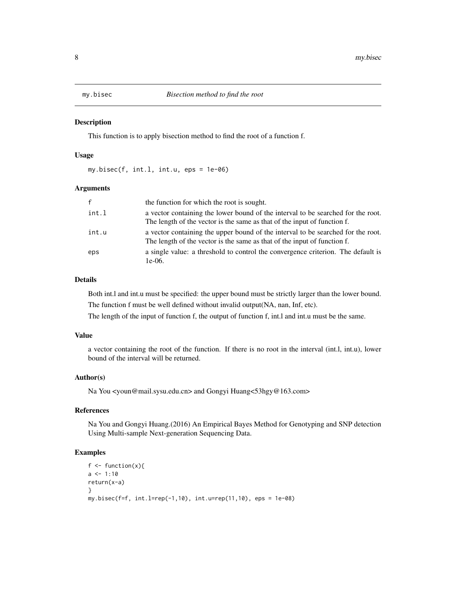<span id="page-7-0"></span>

## Description

This function is to apply bisection method to find the root of a function f.

# Usage

my.bisec(f, int.l, int.u, eps = 1e-06)

# Arguments

| $\mathsf{f}$ | the function for which the root is sought.                                                                                                                   |
|--------------|--------------------------------------------------------------------------------------------------------------------------------------------------------------|
| int.l        | a vector containing the lower bound of the interval to be searched for the root.<br>The length of the vector is the same as that of the input of function f. |
| int.u        | a vector containing the upper bound of the interval to be searched for the root.<br>The length of the vector is the same as that of the input of function f. |
| eps          | a single value: a threshold to control the convergence criterion. The default is<br>$1e-06.$                                                                 |

# Details

Both int.l and int.u must be specified: the upper bound must be strictly larger than the lower bound. The function f must be well defined without invalid output(NA, nan, Inf, etc).

The length of the input of function f, the output of function f, int.l and int.u must be the same.

#### Value

a vector containing the root of the function. If there is no root in the interval (int.l, int.u), lower bound of the interval will be returned.

# Author(s)

Na You <youn@mail.sysu.edu.cn> and Gongyi Huang<53hgy@163.com>

#### References

Na You and Gongyi Huang.(2016) An Empirical Bayes Method for Genotyping and SNP detection Using Multi-sample Next-generation Sequencing Data.

#### Examples

```
f \leftarrow function(x){
a \le -1:10return(x-a)
}
my.bisec(f=f, int.l=rep(-1,10), int.u=rep(11,10), eps = 1e-08)
```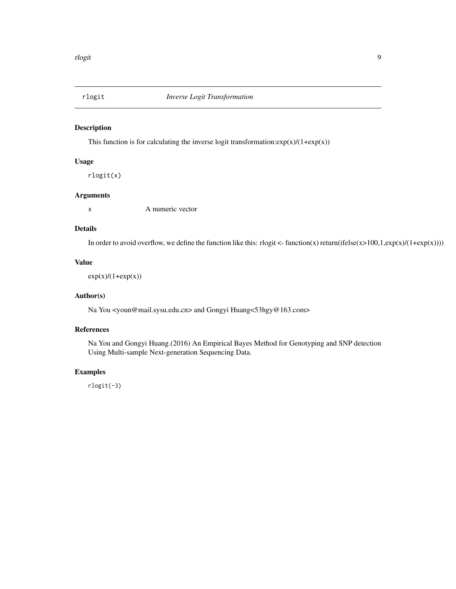<span id="page-8-0"></span>

# Description

This function is for calculating the inverse logit transformation: $exp(x)/(1+exp(x))$ 

# Usage

rlogit(x)

# Arguments

x A numeric vector

# Details

In order to avoid overflow, we define the function like this: rlogit <- function(x) return(ifelse(x>100,1,exp(x)/(1+exp(x))))

# Value

 $exp(x)/(1+exp(x))$ 

# Author(s)

Na You <youn@mail.sysu.edu.cn> and Gongyi Huang<53hgy@163.com>

#### References

Na You and Gongyi Huang.(2016) An Empirical Bayes Method for Genotyping and SNP detection Using Multi-sample Next-generation Sequencing Data.

# Examples

rlogit(-3)